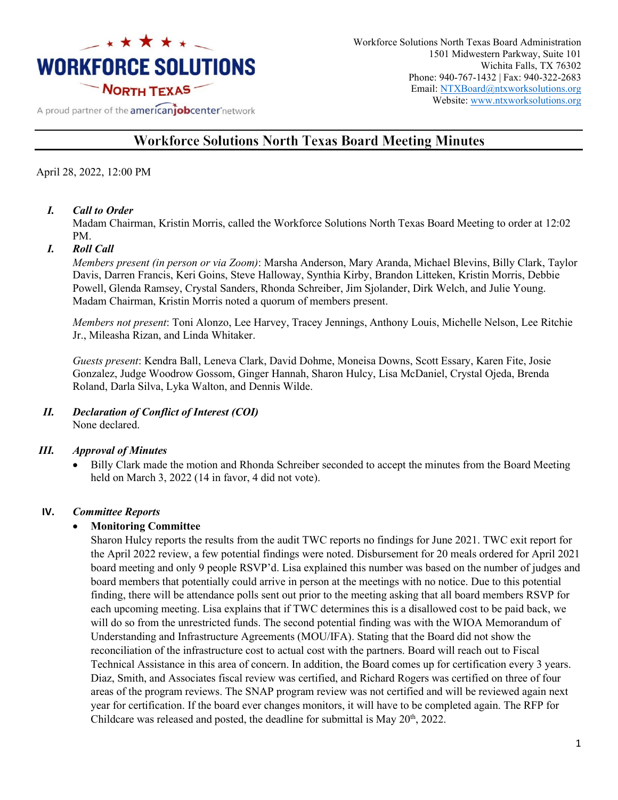

Workforce Solutions North Texas Board Administration 1501 Midwestern Parkway, Suite 101 Wichita Falls, TX 76302 Phone: 940-767-1432 | Fax: 940-322-2683 Email: [NTXBoard@ntxworksolutions.org](mailto:NTXBoard@ntxworksolutions.org) Website: [www.ntxworksolutions.org](http://www.ntxworksolutions.org/)

## A proud partner of the **americanjobcenter** network

# **Workforce Solutions North Texas Board Meeting Minutes**

### April 28, 2022, 12:00 PM

#### *I. Call to Order*

Madam Chairman, Kristin Morris, called the Workforce Solutions North Texas Board Meeting to order at 12:02 PM.

#### *I. Roll Call*

*Members present (in person or via Zoom)*: Marsha Anderson, Mary Aranda, Michael Blevins, Billy Clark, Taylor Davis, Darren Francis, Keri Goins, Steve Halloway, Synthia Kirby, Brandon Litteken, Kristin Morris, Debbie Powell, Glenda Ramsey, Crystal Sanders, Rhonda Schreiber, Jim Sjolander, Dirk Welch, and Julie Young. Madam Chairman, Kristin Morris noted a quorum of members present.

*Members not present*: Toni Alonzo, Lee Harvey, Tracey Jennings, Anthony Louis, Michelle Nelson, Lee Ritchie Jr., Mileasha Rizan, and Linda Whitaker.

*Guests present*: Kendra Ball, Leneva Clark, David Dohme, Moneisa Downs, Scott Essary, Karen Fite, Josie Gonzalez, Judge Woodrow Gossom, Ginger Hannah, Sharon Hulcy, Lisa McDaniel, Crystal Ojeda, Brenda Roland, Darla Silva, Lyka Walton, and Dennis Wilde.

#### *II. Declaration of Conflict of Interest (COI)* None declared.

#### *III. Approval of Minutes*

• Billy Clark made the motion and Rhonda Schreiber seconded to accept the minutes from the Board Meeting held on March 3, 2022 (14 in favor, 4 did not vote).

#### **IV.** *Committee Reports*

#### • **Monitoring Committee**

Sharon Hulcy reports the results from the audit TWC reports no findings for June 2021. TWC exit report for the April 2022 review, a few potential findings were noted. Disbursement for 20 meals ordered for April 2021 board meeting and only 9 people RSVP'd. Lisa explained this number was based on the number of judges and board members that potentially could arrive in person at the meetings with no notice. Due to this potential finding, there will be attendance polls sent out prior to the meeting asking that all board members RSVP for each upcoming meeting. Lisa explains that if TWC determines this is a disallowed cost to be paid back, we will do so from the unrestricted funds. The second potential finding was with the WIOA Memorandum of Understanding and Infrastructure Agreements (MOU/IFA). Stating that the Board did not show the reconciliation of the infrastructure cost to actual cost with the partners. Board will reach out to Fiscal Technical Assistance in this area of concern. In addition, the Board comes up for certification every 3 years. Diaz, Smith, and Associates fiscal review was certified, and Richard Rogers was certified on three of four areas of the program reviews. The SNAP program review was not certified and will be reviewed again next year for certification. If the board ever changes monitors, it will have to be completed again. The RFP for Childcare was released and posted, the deadline for submittal is May  $20^{th}$ ,  $2022$ .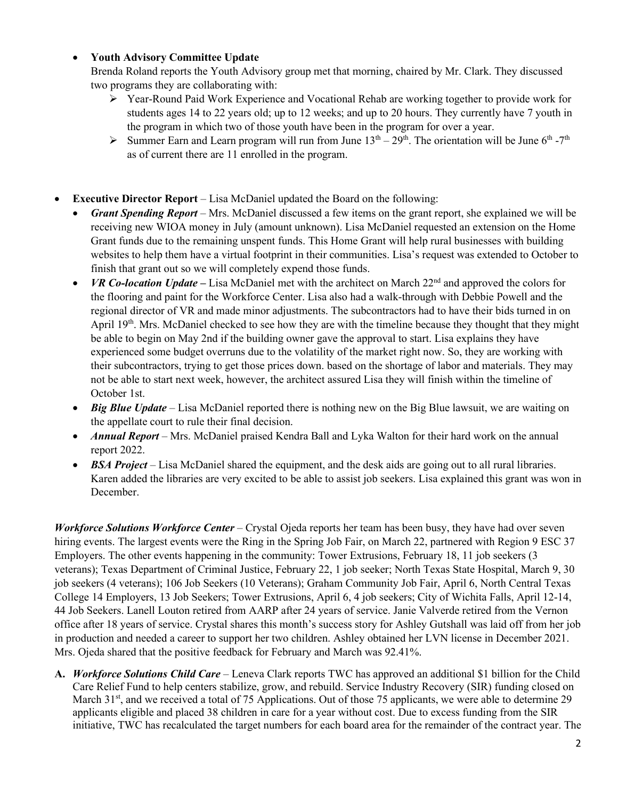# • **Youth Advisory Committee Update**

Brenda Roland reports the Youth Advisory group met that morning, chaired by Mr. Clark. They discussed two programs they are collaborating with:

- Year-Round Paid Work Experience and Vocational Rehab are working together to provide work for students ages 14 to 22 years old; up to 12 weeks; and up to 20 hours. They currently have 7 youth in the program in which two of those youth have been in the program for over a year.
- Summer Earn and Learn program will run from June  $13<sup>th</sup> 29<sup>th</sup>$ . The orientation will be June  $6<sup>th</sup> 7<sup>th</sup>$ as of current there are 11 enrolled in the program.
- **Executive Director Report** *–* Lisa McDaniel updated the Board on the following:
	- *Grant Spending Report –* Mrs. McDaniel discussed a few items on the grant report, she explained we will be receiving new WIOA money in July (amount unknown). Lisa McDaniel requested an extension on the Home Grant funds due to the remaining unspent funds. This Home Grant will help rural businesses with building websites to help them have a virtual footprint in their communities. Lisa's request was extended to October to finish that grant out so we will completely expend those funds.
	- *VR Co-location Update* Lisa McDaniel met with the architect on March 22<sup>nd</sup> and approved the colors for the flooring and paint for the Workforce Center. Lisa also had a walk-through with Debbie Powell and the regional director of VR and made minor adjustments. The subcontractors had to have their bids turned in on April 19<sup>th</sup>. Mrs. McDaniel checked to see how they are with the timeline because they thought that they might be able to begin on May 2nd if the building owner gave the approval to start. Lisa explains they have experienced some budget overruns due to the volatility of the market right now. So, they are working with their subcontractors, trying to get those prices down. based on the shortage of labor and materials. They may not be able to start next week, however, the architect assured Lisa they will finish within the timeline of October 1st.
	- *Big Blue Update* Lisa McDaniel reported there is nothing new on the Big Blue lawsuit, we are waiting on the appellate court to rule their final decision.
	- *Annual Report* Mrs. McDaniel praised Kendra Ball and Lyka Walton for their hard work on the annual report 2022.
	- *BSA Project* Lisa McDaniel shared the equipment, and the desk aids are going out to all rural libraries. Karen added the libraries are very excited to be able to assist job seekers. Lisa explained this grant was won in December.

*Workforce Solutions Workforce Center* – Crystal Ojeda reports her team has been busy, they have had over seven hiring events. The largest events were the Ring in the Spring Job Fair, on March 22, partnered with Region 9 ESC 37 Employers. The other events happening in the community: Tower Extrusions, February 18, 11 job seekers (3 veterans); Texas Department of Criminal Justice, February 22, 1 job seeker; North Texas State Hospital, March 9, 30 job seekers (4 veterans); 106 Job Seekers (10 Veterans); Graham Community Job Fair, April 6, North Central Texas College 14 Employers, 13 Job Seekers; Tower Extrusions, April 6, 4 job seekers; City of Wichita Falls, April 12-14, 44 Job Seekers. Lanell Louton retired from AARP after 24 years of service. Janie Valverde retired from the Vernon office after 18 years of service. Crystal shares this month's success story for Ashley Gutshall was laid off from her job in production and needed a career to support her two children. Ashley obtained her LVN license in December 2021. Mrs. Ojeda shared that the positive feedback for February and March was 92.41%.

**A.** *Workforce Solutions Child Care* – Leneva Clark reports TWC has approved an additional \$1 billion for the Child Care Relief Fund to help centers stabilize, grow, and rebuild. Service Industry Recovery (SIR) funding closed on March 31<sup>st</sup>, and we received a total of 75 Applications. Out of those 75 applicants, we were able to determine 29 applicants eligible and placed 38 children in care for a year without cost. Due to excess funding from the SIR initiative, TWC has recalculated the target numbers for each board area for the remainder of the contract year. The